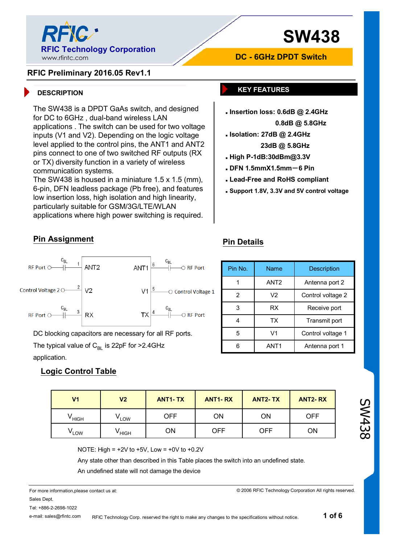

# **SW438**

#### **RFIC Preliminary 2016.05 Rev1.1**

The SW438 is a DPDT GaAs switch, and designed for DC to 6GHz , dual-band wireless LAN applications . The switch can be used for two voltage inputs (V1 and V2). Depending on the logic voltage level applied to the control pins, the ANT1 and ANT2 pins connect to one of two switched RF outputs (RX or TX) diversity function in a variety of wireless communication systems.

The SW438 is housed in a miniature 1.5 x 1.5 (mm), 6-pin, DFN leadless package (Pb free), and features low insertion loss, high isolation and high linearity, particularly suitable for GSM/3G/LTE/WLAN applications where high power switching is required.

#### **DESCRIPTION KEY FEATURES**

 **Insertion loss: 0.6dB @ 2.4GHz 0.8dB @ 5.8GHz** 

**DC - 6GHz DPDT Switch**

- **Isolation: 27dB @ 2.4GHz 23dB @ 5.8GHz**
- **High P-1dB:30dBm@3.3V**
- **DFN 1.5mmX1.5mm-6 Pin**

**Pin Details**

- **Lead-Free and RoHS compliant**
- **Support 1.8V, 3.3V and 5V control voltage**

Pin No. | Name | Description

#### **Pin Assignment**



DC blocking capacitors are necessary for all RF ports.

The typical value of  $C_{B1}$  is 22pF for >2.4GHz application.

#### **Logic Control Table**

| V1                | V <sub>2</sub>   | <b>ANT1-TX</b> | <b>ANT1-RX</b> | <b>ANT2-TX</b> | <b>ANT2-RX</b> |
|-------------------|------------------|----------------|----------------|----------------|----------------|
| <sup>v</sup> HIGH | LOW <sup>'</sup> | OFF            | <b>ON</b>      | ON             | <b>OFF</b>     |
| LOW               | ' HIGH           | ΟN             | OFF            | <b>OFF</b>     | ΟN             |

SW438

NOTE: High =  $+2V$  to  $+5V$ , Low =  $+0V$  to  $+0.2V$ 

Any state other than described in this Table places the switch into an undefined state.

An undefined state will not damage the device

For more information,please contact us at: Sales Dept. Tel: +886-2-2698-1022

e-mail: sales@rfintc.com

RFIC Technology Corp. reserved the right to make any changes to the specifications without notice.

© 2006 RFIC Technology Corporation All rights reserved.

6 ANT1 Antenna port 1 5 V1 Control voltage 1 4 | TX | Transmit port 3 | RX | Receive port 2 | V2 | Control voltage 2 1 | ANT2 | Antenna port 2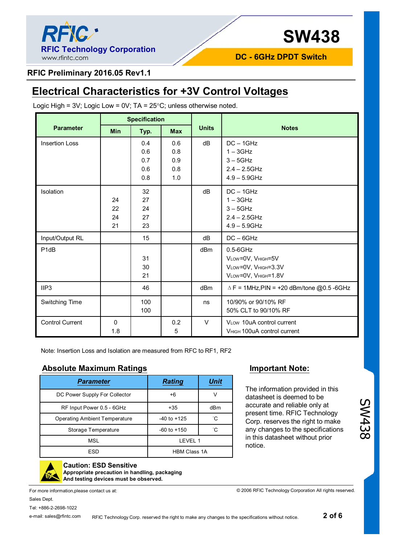

**DC - 6GHz DPDT Switch**

#### **RFIC Preliminary 2016.05 Rev1.1**

## **Electrical Characteristics for +3V Control Voltages**

Logic High =  $3V$ ; Logic Low =  $0V$ ; TA =  $25^{\circ}$ C; unless otherwise noted.

|                        | <b>Specification</b> |      |            |                 |                                                     |  |
|------------------------|----------------------|------|------------|-----------------|-----------------------------------------------------|--|
| <b>Parameter</b>       | <b>Min</b>           | Typ. | <b>Max</b> | <b>Units</b>    | <b>Notes</b>                                        |  |
| <b>Insertion Loss</b>  |                      | 0.4  | 0.6        | dB              | $DC - 1GHz$                                         |  |
|                        |                      | 0.6  | 0.8        |                 | $1 - 3$ GHz                                         |  |
|                        |                      | 0.7  | 0.9        |                 | $3 - 5$ GHz                                         |  |
|                        |                      | 0.6  | 0.8        |                 | $2.4 - 2.5$ GHz                                     |  |
|                        |                      | 0.8  | 1.0        |                 | $4.9 - 5.9$ GHz                                     |  |
| Isolation              |                      | 32   |            | dB              | $DC - 1GHz$                                         |  |
|                        | 24                   | 27   |            |                 | $1 - 3$ GHz                                         |  |
|                        | 22                   | 24   |            |                 | $3 - 5$ GHz                                         |  |
|                        | 24                   | 27   |            |                 | $2.4 - 2.5$ GHz                                     |  |
|                        | 21                   | 23   |            |                 | $4.9 - 5.9$ GHz                                     |  |
| Input/Output RL        |                      | 15   |            | dB              | $DC - 6GHz$                                         |  |
| P <sub>1</sub> dB      |                      |      |            | d <sub>Bm</sub> | $0.5 - 6$ GHz                                       |  |
|                        |                      | 31   |            |                 | VLOW=0V, VHIGH=5V                                   |  |
|                        |                      | 30   |            |                 | VLOW=0V, VHIGH=3.3V                                 |  |
|                        |                      | 21   |            |                 | VLOW=0V, VHIGH=1.8V                                 |  |
| IIP3                   |                      | 46   |            | dBm             | $\triangle$ F = 1MHz, PIN = +20 dBm/tone @0.5 -6GHz |  |
| Switching Time         |                      | 100  |            | ns              | 10/90% or 90/10% RF                                 |  |
|                        |                      | 100  |            |                 | 50% CLT to 90/10% RF                                |  |
| <b>Control Current</b> | $\mathbf{0}$         |      | 0.2        | $\vee$          | VLow 10uA control current                           |  |
|                        | 1.8                  |      | 5          |                 | VHIGH 100uA control current                         |  |

Note: Insertion Loss and Isolation are measured from RFC to RF1, RF2

#### **Absolute Maximum Ratings Important Note:**

| <b>Parameter</b>                     | <b>Rating</b>       | <b>Unit</b> |
|--------------------------------------|---------------------|-------------|
| DC Power Supply For Collector        | $+6$                | V           |
| RF Input Power 0.5 - 6GHz            | $+35$               | dBm         |
| <b>Operating Ambient Temperature</b> | $-40$ to $+125$     | °С          |
| Storage Temperature                  | $-60$ to $+150$     | °C          |
| <b>MSL</b>                           | IFVFI <sub>1</sub>  |             |
| ESD                                  | <b>HBM Class 1A</b> |             |

The information provided in this datasheet is deemed to be accurate and reliable only at present time. RFIC Technology Corp. reserves the right to make any changes to the specifications in this datasheet without prior notice.

© 2006 RFIC Technology Corporation All rights reserved.



**Caution: ESD Sensitive Appropriate precaution in handling, packaging And testing devices must be observed.**

For more information,please contact us at: Sales Dept.

Tel: +886-2-2698-1022

e-mail: sales@rfintc.com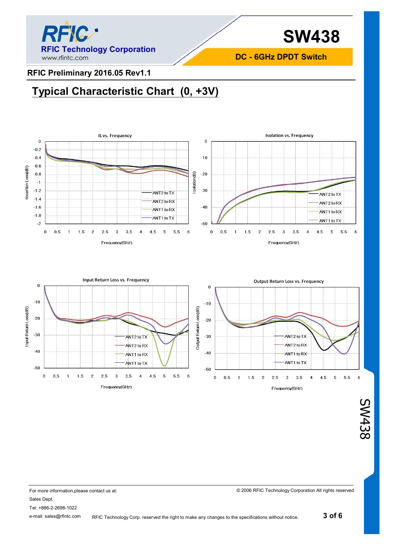

**DC - 6GHz DPDT Switch**

#### **RFIC Preliminary 2016.05 Rev1.1**

## **Typical Characteristic Chart (0, +3V)**





© 2006 RFIC Technology Corporation All rights reserved.

For more information,please contact us at: Sales Dept. Tel: +886-2-2698-1022 e-mail: sales@rfintc.com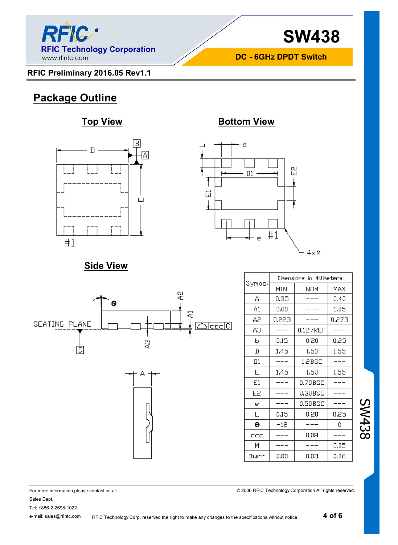

**SW438**

**DC - 6GHz DPDT Switch**

### **RFIC Preliminary 2016.05 Rev1.1**

## **Package Outline**

### **Top View Bottom View**





## **Side View**



|        | Dimensions in Millimeters |          |       |  |  |  |
|--------|---------------------------|----------|-------|--|--|--|
| Symbol | MIN<br>NOM                |          | MAX   |  |  |  |
| А      | 0.35                      |          | 0.40  |  |  |  |
| A1     | 0.00                      |          | 0.05  |  |  |  |
| Α2     | 0,223                     |          | 0.273 |  |  |  |
| АЭ     |                           | 0.127REF |       |  |  |  |
| b      | 0.15                      | 0.20     | 0.25  |  |  |  |
| D      | 1.45                      | 1.50     | 1.55  |  |  |  |
| Πl     |                           | 1.2BSC   |       |  |  |  |
| E      | 1.45                      | 1.50     | 1.55  |  |  |  |
| E1     |                           | 0.70BSC  |       |  |  |  |
| E2     |                           | 0.30BSC  |       |  |  |  |
| e      |                           | 0.50BSC  |       |  |  |  |
| L      | 0.15                      | 0.20     | 0.25  |  |  |  |
| θ      | -12                       |          | ٥     |  |  |  |
| ccc    |                           | 0.08     |       |  |  |  |
| М      |                           |          | 0.05  |  |  |  |
| Burr   | 0.00                      | 0.03     | 0.06  |  |  |  |

© 2006 RFIC Technology Corporation All rights reserved.

SW438

For more information,please contact us at: Sales Dept. Tel: +886-2-2698-1022

e-mail: sales@rfintc.com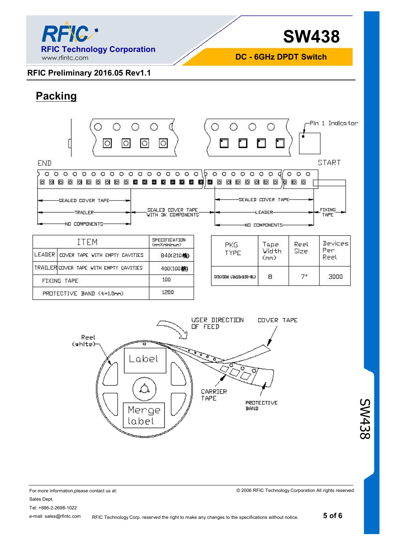

**DC - 6GHz DPDT Switch**

#### **RFIC Preliminary 2016.05 Rev1.1**

## **Packing**



| <b>Allen Contract Contract Contract Contract Contract Contract Contract Contract Contract Contract Contract Contract Contract Contract Contract Contract Contract Contract Contract Contract Contract Contract Contract Contract</b> |                                        | (nm)(nininun) |  |
|--------------------------------------------------------------------------------------------------------------------------------------------------------------------------------------------------------------------------------------|----------------------------------------|---------------|--|
|                                                                                                                                                                                                                                      | LEADER COVER TAPE WITH EMPTY CAVITIES  | B40(210格)     |  |
|                                                                                                                                                                                                                                      | TRAILERICOVER TAPE WITH EMPTY CAVITIES | 4000100格      |  |
|                                                                                                                                                                                                                                      | FIXING TAPE                            | 100           |  |
| PROTECTIVE BAND (t=1.0mm)                                                                                                                                                                                                            |                                        | 1200          |  |

| PKG<br><b>TYPE</b>     | Tape<br>Width<br>(mm) | Reel<br>Size | Devices<br>Per<br>Reel |
|------------------------|-----------------------|--------------|------------------------|
| SKIKKSDN 15x15x155-8L) | 8                     |              | 3000                   |



SW438

For more information,please contact us at: Sales Dept. Tel: +886-2-2698-1022 e-mail: sales@rfintc.com RFIC Technology Corp. reserved the right to make any changes to the specifications without notice.

© 2006 RFIC Technology Corporation All rights reserved.